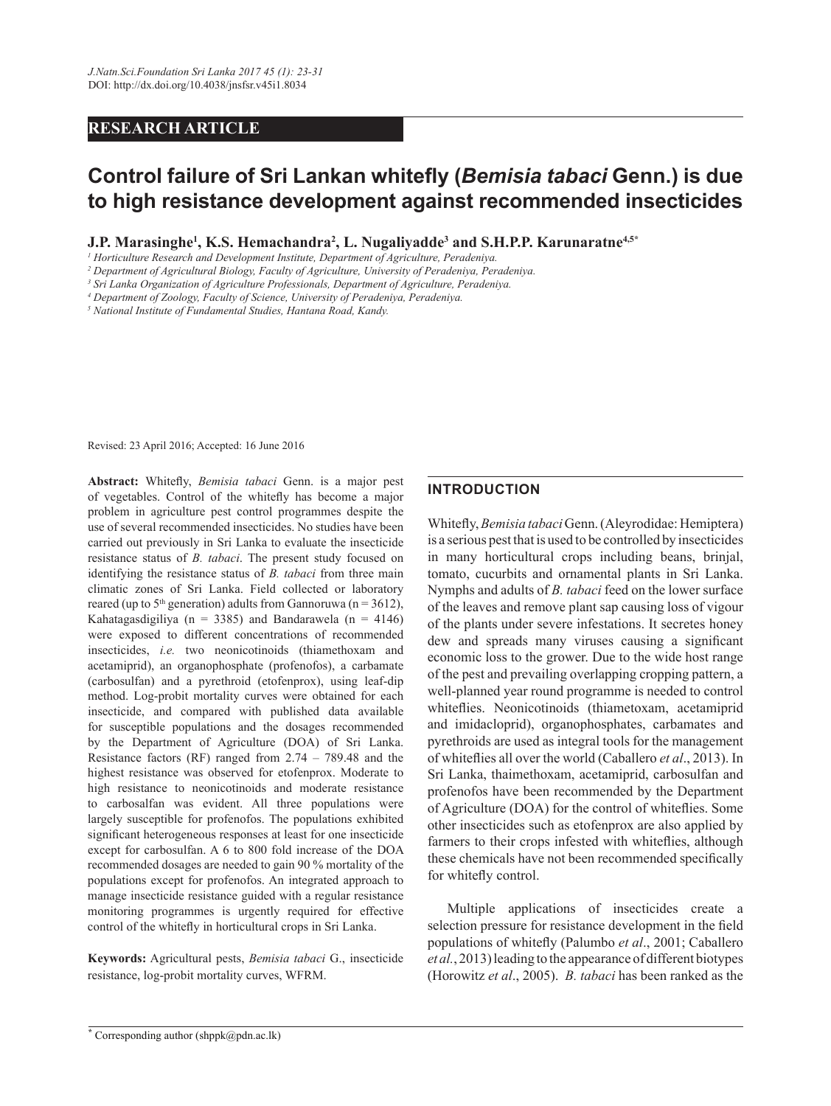## **RESEARCH ARTICLE**

# **Control failure of Sri Lankan whitefly (Bemisia tabaci Genn.) is due to high resistance development against recommended insecticides**

 $\bf{J.P.}$  Marasinghe<sup>1</sup>, K.S. Hemachandra<sup>2</sup>, L. Nugaliyadde<sup>3</sup> and S.H.P.P. Karunaratne<sup>4,5\*</sup>

<sup>1</sup> Horticulture Research and Development Institute, Department of Agriculture, Peradeniya.

*2 Department of Agricultural Biology, Faculty of Agriculture, University of Peradeniya, Peradeniya.*

*3 Sri Lanka Organization of Agriculture Professionals, Department of Agriculture, Peradeniya.*

*4 Department of Zoology, Faculty of Science, University of Peradeniya, Peradeniya.* 

*5 National Institute of Fundamental Studies, Hantana Road, Kandy.*

Revised: 23 April 2016; Accepted: 16 June 2016

Abstract: Whitefly, *Bemisia tabaci* Genn. is a major pest of vegetables. Control of the whitefly has become a major problem in agriculture pest control programmes despite the use of several recommended insecticides. No studies have been carried out previously in Sri Lanka to evaluate the insecticide resistance status of *B. tabaci*. The present study focused on identifying the resistance status of *B. tabaci* from three main climatic zones of Sri Lanka. Field collected or laboratory reared (up to  $5<sup>th</sup>$  generation) adults from Gannoruwa (n = 3612), Kahatagasdigiliya (n = 3385) and Bandarawela (n = 4146) were exposed to different concentrations of recommended insecticides, *i.e.* two neonicotinoids (thiamethoxam and acetamiprid), an organophosphate (profenofos), a carbamate (carbosulfan) and a pyrethroid (etofenprox), using leaf-dip method. Log-probit mortality curves were obtained for each insecticide, and compared with published data available for susceptible populations and the dosages recommended by the Department of Agriculture (DOA) of Sri Lanka. Resistance factors (RF) ranged from  $2.74 - 789.48$  and the highest resistance was observed for etofenprox. Moderate to high resistance to neonicotinoids and moderate resistance to carbosalfan was evident. All three populations were largely susceptible for profenofos. The populations exhibited significant heterogeneous responses at least for one insecticide except for carbosulfan. A 6 to 800 fold increase of the DOA recommended dosages are needed to gain 90 % mortality of the populations except for profenofos. An integrated approach to manage insecticide resistance guided with a regular resistance monitoring programmes is urgently required for effective control of the whitefly in horticultural crops in Sri Lanka.

Keywords: Agricultural pests, *Bemisia tabaci* G., insecticide resistance, log-probit mortality curves, WFRM.

## **INTRODUCTION**

Whitefly, *Bemisia tabaci* Genn. (Aleyrodidae: Hemiptera) is a serious pest that is used to be controlled by insecticides in many horticultural crops including beans, brinjal, tomato, cucurbits and ornamental plants in Sri Lanka. Nymphs and adults of *B. tabaci* feed on the lower surface of the leaves and remove plant sap causing loss of vigour of the plants under severe infestations. It secretes honey dew and spreads many viruses causing a significant economic loss to the grower. Due to the wide host range of the pest and prevailing overlapping cropping pattern, a well-planned year round programme is needed to control whiteflies. Neonicotinoids (thiametoxam, acetamiprid and imidacloprid), organophosphates, carbamates and pyrethroids are used as integral tools for the management of whiteflies all over the world (Caballero *et al.*, 2013). In Sri Lanka, thaimethoxam, acetamiprid, carbosulfan and profenofos have been recommended by the Department of Agriculture (DOA) for the control of whiteflies. Some other insecticides such as etofenprox are also applied by farmers to their crops infested with whiteflies, although these chemicals have not been recommended specifically for whitefly control.

 Multiple applications of insecticides create a selection pressure for resistance development in the field populations of whitefly (Palumbo et al., 2001; Caballero *et al.*, 2013) leading to the appearance of different biotypes (Horowitz et al., 2005). *B. tabaci* has been ranked as the

**<sup>\*</sup>** Corresponding author (shppk@pdn.ac.lk)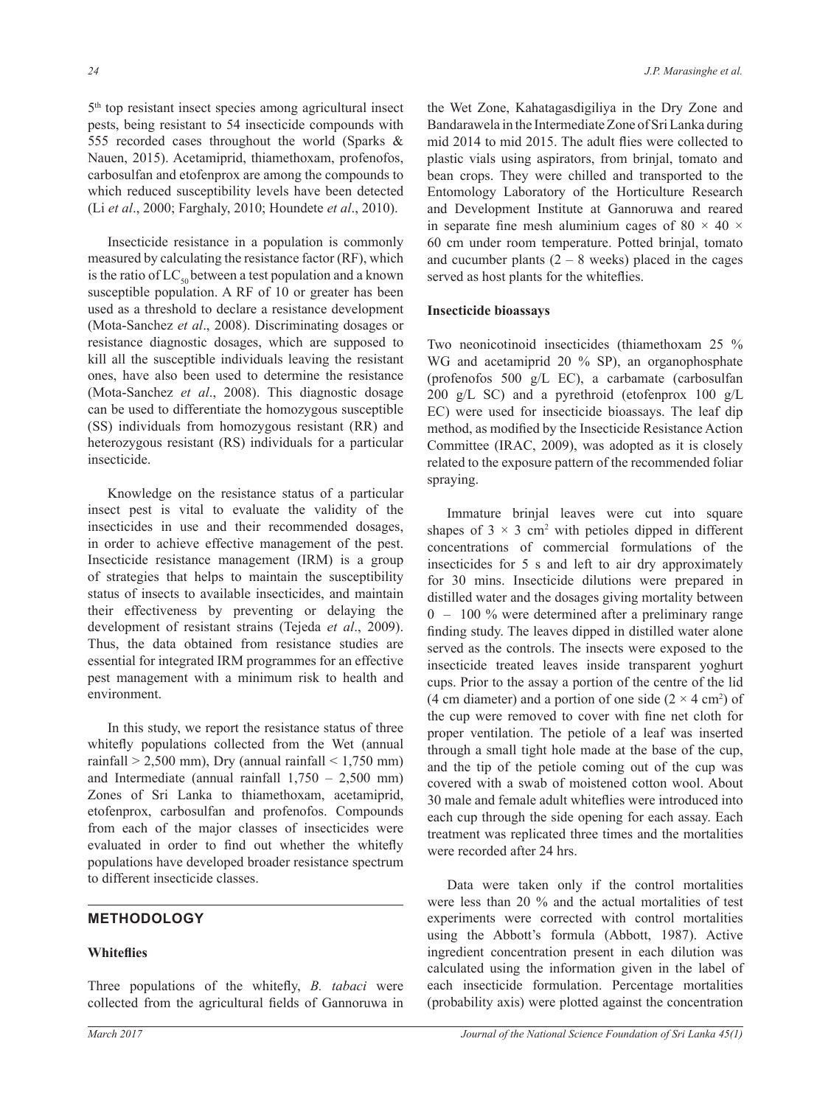5 th top resistant insect species among agricultural insect pests, being resistant to 54 insecticide compounds with 555 recorded cases throughout the world (Sparks & Nauen, 2015). Acetamiprid, thiamethoxam, profenofos, carbosulfan and etofenprox are among the compounds to which reduced susceptibility levels have been detected (Li *et al*., 2000; Farghaly, 2010; Houndete *et al*., 2010).

 Insecticide resistance in a population is commonly measured by calculating the resistance factor (RF), which is the ratio of  $LC_{50}$  between a test population and a known susceptible population. A RF of 10 or greater has been used as a threshold to declare a resistance development (Mota-Sanchez et al., 2008). Discriminating dosages or resistance diagnostic dosages, which are supposed to kill all the susceptible individuals leaving the resistant ones, have also been used to determine the resistance (Mota-Sanchez et al., 2008). This diagnostic dosage can be used to differentiate the homozygous susceptible (SS) individuals from homozygous resistant (RR) and heterozygous resistant (RS) individuals for a particular insecticide.

 Knowledge on the resistance status of a particular insect pest is vital to evaluate the validity of the insecticides in use and their recommended dosages, in order to achieve effective management of the pest. Insecticide resistance management (IRM) is a group of strategies that helps to maintain the susceptibility status of insects to available insecticides, and maintain their effectiveness by preventing or delaying the development of resistant strains (Tejeda *et al*., 2009). Thus, the data obtained from resistance studies are essential for integrated IRM programmes for an effective pest management with a minimum risk to health and environment.

 In this study, we report the resistance status of three whitefly populations collected from the Wet (annual rainfall  $> 2,500$  mm), Dry (annual rainfall  $< 1,750$  mm) and Intermediate (annual rainfall  $1,750 - 2,500$  mm) Zones of Sri Lanka to thiamethoxam, acetamiprid, etofenprox, carbosulfan and profenofos. Compounds from each of the major classes of insecticides were evaluated in order to find out whether the whitefly populations have developed broader resistance spectrum to different insecticide classes.

## **METHODOLOGY**

### **Whiteflies**

Three populations of the whitefly, *B. tabaci* were collected from the agricultural fields of Gannoruwa in

the Wet Zone, Kahatagasdigiliya in the Dry Zone and Bandarawela in the Intermediate Zone of Sri Lanka during mid 2014 to mid 2015. The adult flies were collected to plastic vials using aspirators, from brinjal, tomato and bean crops. They were chilled and transported to the Entomology Laboratory of the Horticulture Research and Development Institute at Gannoruwa and reared in separate fine mesh aluminium cages of 80  $\times$  40  $\times$ 60 cm under room temperature. Potted brinjal, tomato and cucumber plants  $(2 - 8$  weeks) placed in the cages served as host plants for the whiteflies.

#### **Insecticide bioassays**

Two neonicotinoid insecticides (thiamethoxam 25 % WG and acetamiprid 20 % SP), an organophosphate (profenofos 500 g/L EC), a carbamate (carbosulfan 200 g/L SC) and a pyrethroid (etofenprox 100 g/L EC) were used for insecticide bioassays. The leaf dip method, as modified by the Insecticide Resistance Action Committee (IRAC, 2009), was adopted as it is closely related to the exposure pattern of the recommended foliar spraying.

 Immature brinjal leaves were cut into square shapes of  $3 \times 3$  cm<sup>2</sup> with petioles dipped in different concentrations of commercial formulations of the insecticides for 5 s and left to air dry approximately for 30 mins. Insecticide dilutions were prepared in distilled water and the dosages giving mortality between  $0 - 100\%$  were determined after a preliminary range finding study. The leaves dipped in distilled water alone served as the controls. The insects were exposed to the insecticide treated leaves inside transparent yoghurt cups. Prior to the assay a portion of the centre of the lid (4 cm diameter) and a portion of one side  $(2 \times 4 \text{ cm}^2)$  of the cup were removed to cover with fine net cloth for proper ventilation. The petiole of a leaf was inserted through a small tight hole made at the base of the cup, and the tip of the petiole coming out of the cup was covered with a swab of moistened cotton wool. About 30 male and female adult whiteflies were introduced into each cup through the side opening for each assay. Each treatment was replicated three times and the mortalities were recorded after 24 hrs.

 Data were taken only if the control mortalities were less than 20 % and the actual mortalities of test experiments were corrected with control mortalities using the Abbott's formula (Abbott, 1987). Active ingredient concentration present in each dilution was calculated using the information given in the label of each insecticide formulation. Percentage mortalities (probability axis) were plotted against the concentration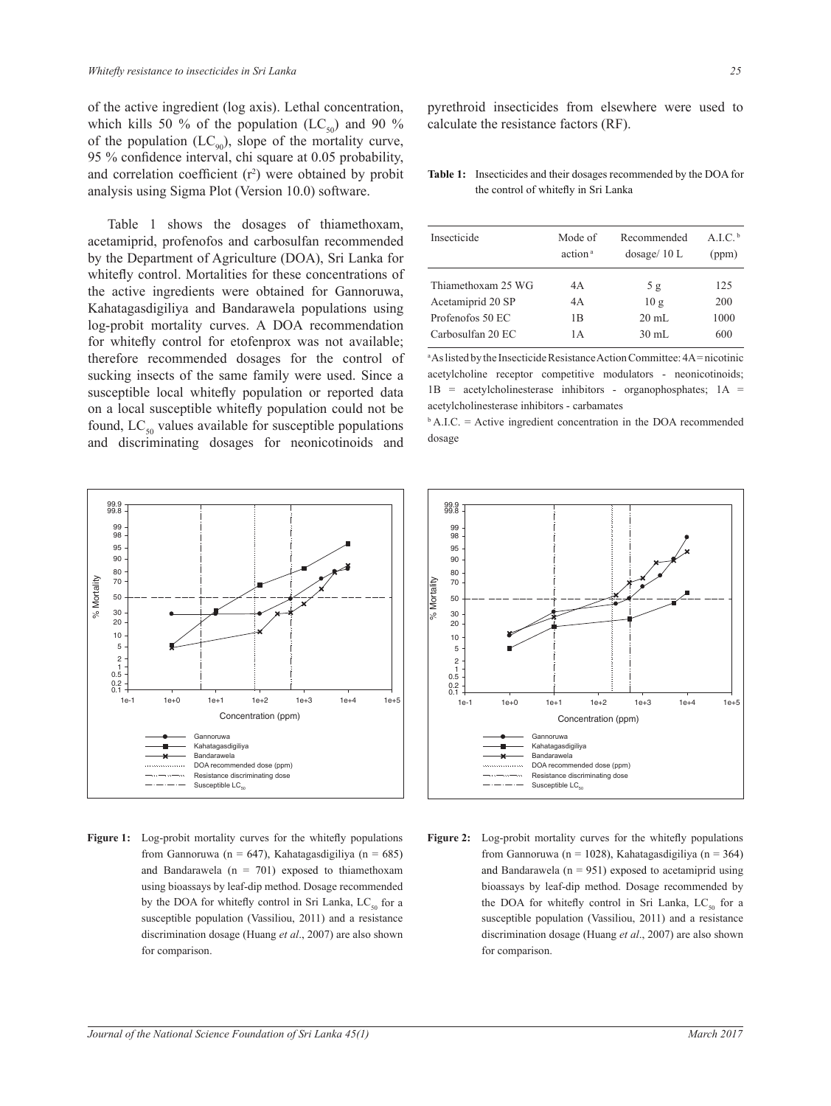of the active ingredient (log axis). Lethal concentration, which kills 50 % of the population (LC<sub>50</sub>) and 90 % of the population  $(LC_{90})$ , slope of the mortality curve, 95 % confidence interval, chi square at  $0.05$  probability, and correlation coefficient  $(r^2)$  were obtained by probit analysis using Sigma Plot (Version 10.0) software.

 Table 1 shows the dosages of thiamethoxam, acetamiprid, profenofos and carbosulfan recommended by the Department of Agriculture (DOA), Sri Lanka for whitefly control. Mortalities for these concentrations of the active ingredients were obtained for Gannoruwa, Kahatagasdigiliya and Bandarawela populations using log-probit mortality curves. A DOA recommendation for whitefly control for etofenprox was not available; therefore recommended dosages for the control of sucking insects of the same family were used. Since a susceptible local whitefly population or reported data on a local susceptible whitefly population could not be found,  $LC_{50}$  values available for susceptible populations and discriminating dosages for neonicotinoids and



Figure 1: Log-probit mortality curves for the whitefly populations from Gannoruwa (n = 647), Kahatagasdigiliya (n = 685) and Bandarawela ( $n = 701$ ) exposed to thiamethoxam using bioassays by leaf-dip method. Dosage recommended by the DOA for whitefly control in Sri Lanka,  $LC_{so}$  for a susceptible population (Vassiliou, 2011) and a resistance discrimination dosage (Huang *et al*., 2007) are also shown for comparison.

Table 1: Insecticides and their dosages recommended by the DOA for the control of whitefly in Sri Lanka

| Insecticide        | Mode of<br>action <sup>a</sup> | Recommended<br>dosage/10 L | A I C $\rm{^b}$<br>(ppm) |
|--------------------|--------------------------------|----------------------------|--------------------------|
| Thiamethoxam 25 WG | 4A                             | 5g                         | 125                      |
| Acetamiprid 20 SP  | 4A                             | 10g                        | 200                      |
| Profenofos 50 EC   | 1B                             | $20 \text{ mL}$            | 1000                     |
| Carbosulfan 20 EC  | 1 A                            | $30 \text{ mL}$            | 600                      |

<sup>a</sup>As listed by the Insecticide Resistance Action Committee: 4A = nicotinic acetylcholine receptor competitive modulators - neonicotinoids;  $1B$  = acetylcholinesterase inhibitors - organophosphates;  $1A$  = acetylcholinesterase inhibitors - carbamates

 $\Phi$  A.I.C. = Active ingredient concentration in the DOA recommended dosage



Figure 2: Log-probit mortality curves for the whitefly populations from Gannoruwa (n = 1028), Kahatagasdigiliya (n = 364) and Bandarawela ( $n = 951$ ) exposed to acetamiprid using bioassays by leaf-dip method. Dosage recommended by the DOA for whitefly control in Sri Lanka,  $LC_{s0}$  for a susceptible population (Vassiliou, 2011) and a resistance discrimination dosage (Huang *et al*., 2007) are also shown for comparison.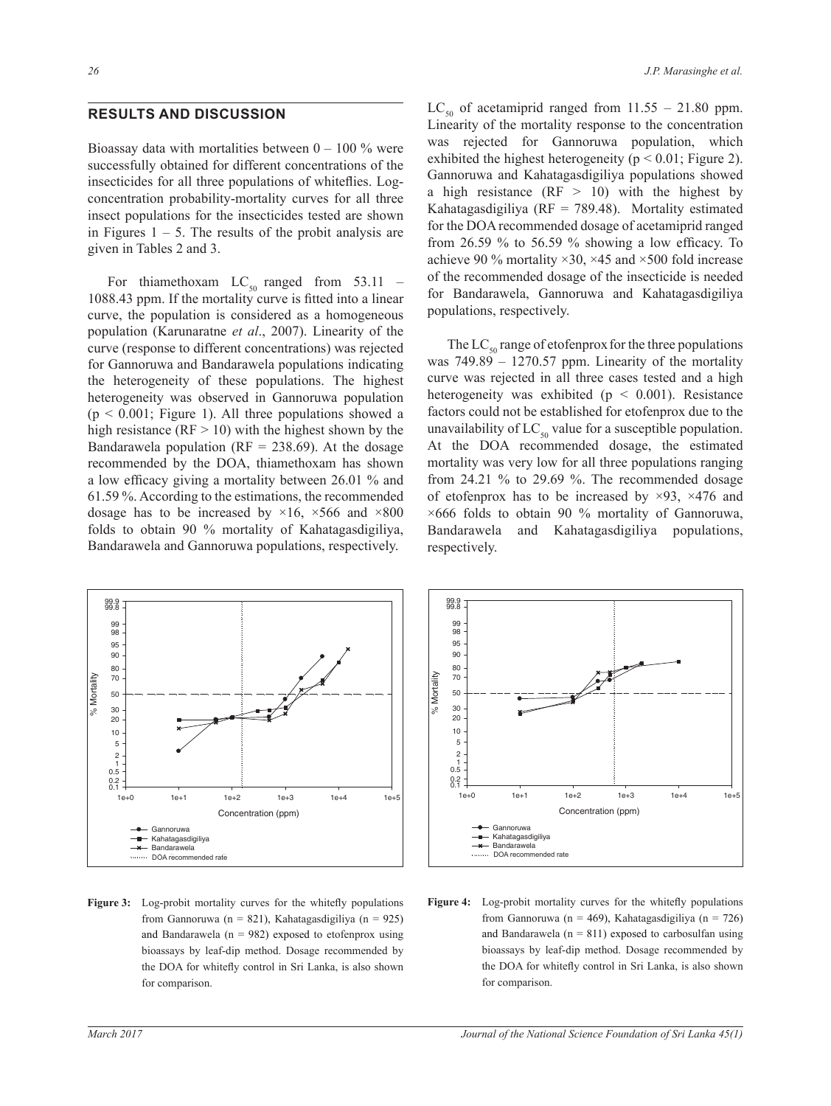### **RESULTS AND DISCUSSION**

Bioassay data with mortalities between  $0 - 100\%$  were successfully obtained for different concentrations of the insecticides for all three populations of whiteflies. Logconcentration probability-mortality curves for all three insect populations for the insecticides tested are shown in Figures  $1 - 5$ . The results of the probit analysis are given in Tables 2 and 3.

For thiamethoxam  $LC_{50}$  ranged from 53.11 -1088.43 ppm. If the mortality curve is fitted into a linear curve, the population is considered as a homogeneous population (Karunaratne *et al*., 2007). Linearity of the curve (response to different concentrations) was rejected for Gannoruwa and Bandarawela populations indicating the heterogeneity of these populations. The highest heterogeneity was observed in Gannoruwa population  $(p < 0.001$ ; Figure 1). All three populations showed a high resistance ( $RF > 10$ ) with the highest shown by the Bandarawela population ( $RF = 238.69$ ). At the dosage recommended by the DOA, thiamethoxam has shown a low efficacy giving a mortality between  $26.01\%$  and  $61.59\%$ . According to the estimations, the recommended dosage has to be increased by  $\times 16$ ,  $\times 566$  and  $\times 800$ folds to obtain 90 % mortality of Kahatagasdigiliya, Bandarawela and Gannoruwa populations, respectively.

LC<sub>50</sub> of acetamiprid ranged from  $11.55 - 21.80$  ppm. Linearity of the mortality response to the concentration was rejected for Gannoruwa population, which exhibited the highest heterogeneity ( $p < 0.01$ ; Figure 2). Gannoruwa and Kahatagasdigiliya populations showed a high resistance (RF  $>$  10) with the highest by Kahatagasdigiliya ( $RF = 789.48$ ). Mortality estimated for the DOA recommended dosage of acetamiprid ranged from 26.59 % to 56.59 % showing a low efficacy. To achieve 90 % mortality  $\times$ 30,  $\times$ 45 and  $\times$ 500 fold increase of the recommended dosage of the insecticide is needed for Bandarawela, Gannoruwa and Kahatagasdigiliya populations, respectively.

The  $LC_{50}$  range of etofenprox for the three populations was  $749.89 - 1270.57$  ppm. Linearity of the mortality curve was rejected in all three cases tested and a high heterogeneity was exhibited ( $p \leq 0.001$ ). Resistance factors could not be established for etofenprox due to the unavailability of  $LC_{50}$  value for a susceptible population. At the DOA recommended dosage, the estimated mortality was very low for all three populations ranging from 24.21 % to 29.69 %. The recommended dosage of etofenprox has to be increased by  $\times$ 93,  $\times$ 476 and  $\times 666$  folds to obtain 90 % mortality of Gannoruwa, Bandarawela and Kahatagasdigiliya populations, respectively.



**Figure 3:** Log-probit mortality curves for the whitefly populations from Gannoruwa (n = 821), Kahatagasdigiliya (n = 925) and Bandarawela ( $n = 982$ ) exposed to etofenprox using bioassays by leaf-dip method. Dosage recommended by the DOA for whitefly control in Sri Lanka, is also shown for comparison.



**Figure 4:** Log-probit mortality curves for the whitefly populations from Gannoruwa (n = 469), Kahatagasdigiliya (n = 726) and Bandarawela ( $n = 811$ ) exposed to carbosulfan using bioassays by leaf-dip method. Dosage recommended by the DOA for whitefly control in Sri Lanka, is also shown for comparison.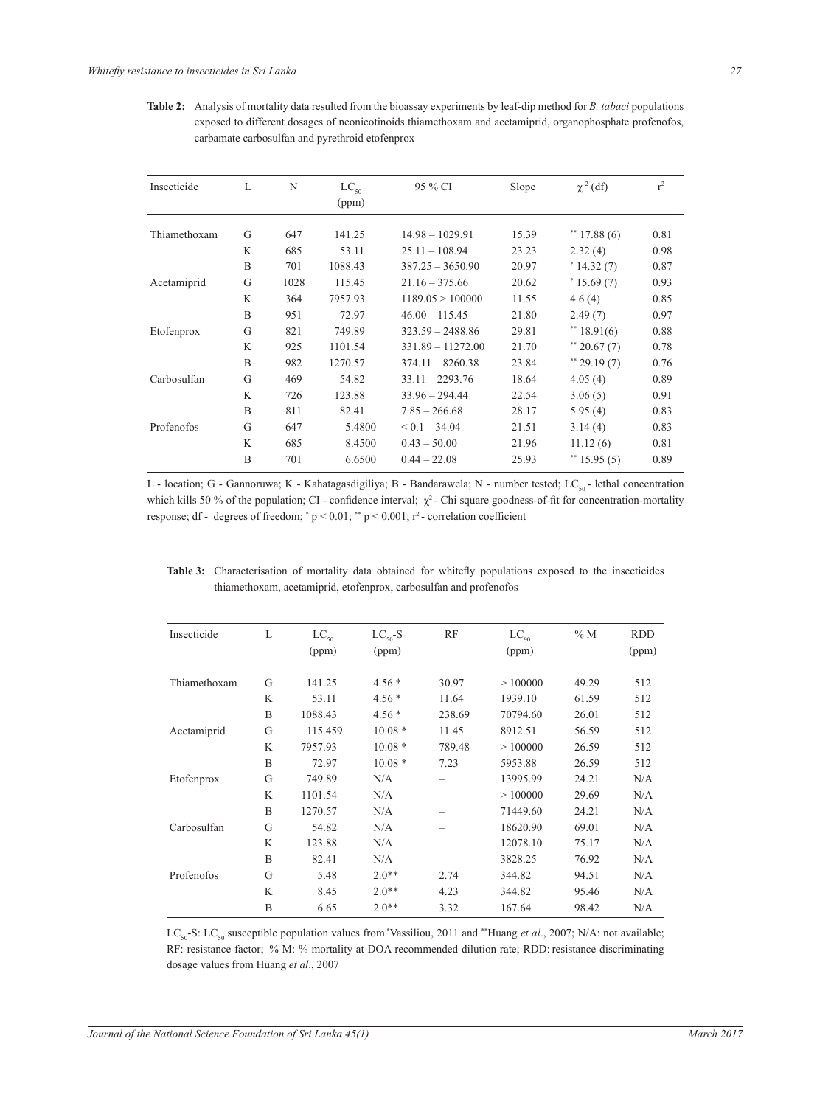Table 2: Analysis of mortality data resulted from the bioassay experiments by leaf-dip method for *B. tabaci* populations exposed to different dosages of neonicotinoids thiamethoxam and acetamiprid, organophosphate profenofos, carbamate carbosulfan and pyrethroid etofenprox

| Insecticide  | L | N    | $LC_{50}$<br>(ppm) | 95 % CI             | Slope | $\chi^2$ (df) | $r^2$ |
|--------------|---|------|--------------------|---------------------|-------|---------------|-------|
| Thiamethoxam | G | 647  | 141.25             | $14.98 - 1029.91$   | 15.39 | $*$ 17.88 (6) | 0.81  |
|              | K | 685  | 53.11              | $25.11 - 108.94$    | 23.23 | 2.32(4)       | 0.98  |
|              | B | 701  | 1088.43            | $387.25 - 3650.90$  | 20.97 | $*14.32(7)$   | 0.87  |
| Acetamiprid  | G | 1028 | 115.45             | $21.16 - 375.66$    | 20.62 | $*15.69(7)$   | 0.93  |
|              | K | 364  | 7957.93            | 1189.05 > 100000    | 11.55 | 4.6(4)        | 0.85  |
|              | B | 951  | 72.97              | $46.00 - 115.45$    | 21.80 | 2.49(7)       | 0.97  |
| Etofenprox   | G | 821  | 749.89             | $323.59 - 2488.86$  | 29.81 | $*$ 18.91(6)  | 0.88  |
|              | K | 925  | 1101.54            | $331.89 - 11272.00$ | 21.70 | $*$ 20.67 (7) | 0.78  |
|              | B | 982  | 1270.57            | $374.11 - 8260.38$  | 23.84 | $*$ 29.19 (7) | 0.76  |
| Carbosulfan  | G | 469  | 54.82              | $33.11 - 2293.76$   | 18.64 | 4.05(4)       | 0.89  |
|              | K | 726  | 123.88             | $33.96 - 294.44$    | 22.54 | 3.06(5)       | 0.91  |
|              | B | 811  | 82.41              | $7.85 - 266.68$     | 28.17 | 5.95(4)       | 0.83  |
| Profenofos   | G | 647  | 5.4800             | $< 0.1 - 34.04$     | 21.51 | 3.14(4)       | 0.83  |
|              | K | 685  | 8.4500             | $0.43 - 50.00$      | 21.96 | 11.12(6)      | 0.81  |
|              | B | 701  | 6.6500             | $0.44 - 22.08$      | 25.93 | $*$ 15.95 (5) | 0.89  |

L - location; G - Gannoruwa; K - Kahatagasdigiliya; B - Bandarawela; N - number tested; LC<sub>50</sub> - lethal concentration which kills 50 % of the population; CI - confidence interval;  $\chi^2$  - Chi square goodness-of-fit for concentration-mortality response; df - degrees of freedom; \*  $p < 0.01$ ; \*\*  $p < 0.001$ ; r<sup>2</sup> - correlation coefficient

Table 3: Characterisation of mortality data obtained for whitefly populations exposed to the insecticides thiamethoxam, acetamiprid, etofenprox, carbosulfan and profenofos

| Insecticide  | L | $LC_{50}$ | $LC_{50}$ -S | <b>RF</b> | $LC_{\alpha}$ | $\%$ M | <b>RDD</b> |
|--------------|---|-----------|--------------|-----------|---------------|--------|------------|
|              |   | (ppm)     | (ppm)        |           | (ppm)         |        | (ppm)      |
| Thiamethoxam | G | 141.25    | $4.56*$      | 30.97     | >100000       | 49.29  | 512        |
|              |   |           |              |           |               |        |            |
|              | K | 53.11     | $4.56*$      | 11.64     | 1939.10       | 61.59  | 512        |
|              | B | 1088.43   | $4.56*$      | 238.69    | 70794.60      | 26.01  | 512        |
| Acetamiprid  | G | 115.459   | $10.08*$     | 11.45     | 8912.51       | 56.59  | 512        |
|              | K | 7957.93   | $10.08*$     | 789.48    | >100000       | 26.59  | 512        |
|              | B | 72.97     | $10.08*$     | 7.23      | 5953.88       | 26.59  | 512        |
| Etofenprox   | G | 749.89    | N/A          | -         | 13995.99      | 24.21  | N/A        |
|              | K | 1101.54   | N/A          |           | >100000       | 29.69  | N/A        |
|              | B | 1270.57   | N/A          | -         | 71449.60      | 24.21  | N/A        |
| Carbosulfan  | G | 54.82     | N/A          |           | 18620.90      | 69.01  | N/A        |
|              | K | 123.88    | N/A          | -         | 12078.10      | 75.17  | N/A        |
|              | B | 82.41     | N/A          | -         | 3828.25       | 76.92  | N/A        |
| Profenofos   | G | 5.48      | $2.0**$      | 2.74      | 344.82        | 94.51  | N/A        |
|              | K | 8.45      | $2.0**$      | 4.23      | 344.82        | 95.46  | N/A        |
|              | B | 6.65      | $2.0**$      | 3.32      | 167.64        | 98.42  | N/A        |
|              |   |           |              |           |               |        |            |

LC<sub>so</sub>-S: LC<sub>so</sub> susceptible population values from 'Vassiliou, 2011 and "Huang et al., 2007; N/A: not available; RF: resistance factor; % M: % mortality at DOA recommended dilution rate; RDD: resistance discriminating dosage values from Huang et al., 2007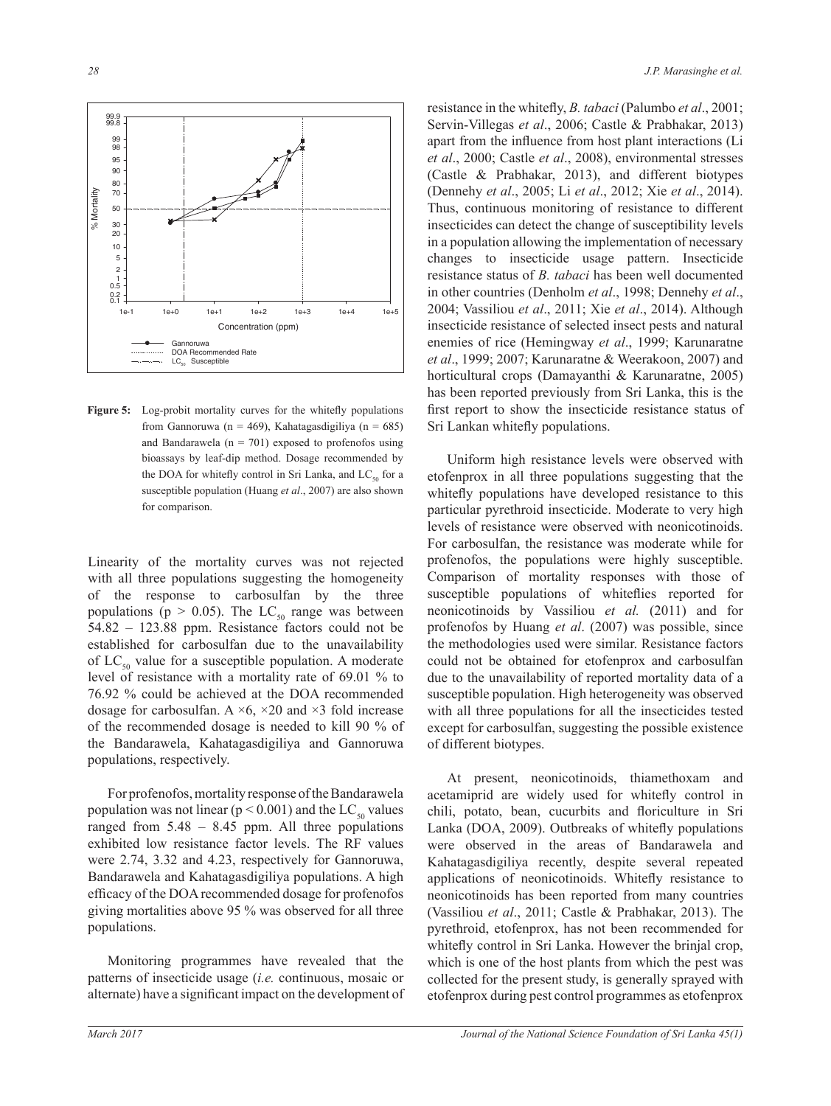

Figure 5: Log-probit mortality curves for the whitefly populations from Gannoruwa (n = 469), Kahatagasdigiliya (n = 685) and Bandarawela ( $n = 701$ ) exposed to profenofos using bioassays by leaf-dip method. Dosage recommended by the DOA for whitefly control in Sri Lanka, and  $LC_{s0}$  for a susceptible population (Huang et al., 2007) are also shown for comparison.

Linearity of the mortality curves was not rejected with all three populations suggesting the homogeneity of the response to carbosulfan by the three populations ( $p > 0.05$ ). The LC<sub>50</sub> range was between 54.82 - 123.88 ppm. Resistance factors could not be established for carbosulfan due to the unavailability of  $LC_{50}$  value for a susceptible population. A moderate level of resistance with a mortality rate of 69.01 % to 76.92 % could be achieved at the DOA recommended dosage for carbosulfan. A  $\times$ 6,  $\times$ 20 and  $\times$ 3 fold increase of the recommended dosage is needed to kill 90 % of the Bandarawela, Kahatagasdigiliya and Gannoruwa populations, respectively.

For profenofos, mortality response of the Bandarawela population was not linear ( $p < 0.001$ ) and the LC<sub>so</sub> values ranged from  $5.48 - 8.45$  ppm. All three populations exhibited low resistance factor levels. The RF values were 2.74, 3.32 and 4.23, respectively for Gannoruwa, Bandarawela and Kahatagasdigiliya populations. A high efficacy of the DOA recommended dosage for profenofos giving mortalities above 95 % was observed for all three populations.

Monitoring programmes have revealed that the patterns of insecticide usage *(i.e.* continuous, mosaic or alternate) have a significant impact on the development of resistance in the whitefly, *B. tabaci* (Palumbo et al., 2001; Servin-Villegas et al., 2006; Castle & Prabhakar, 2013) apart from the influence from host plant interactions (Li *et al.*, 2000; Castle *et al.*, 2008), environmental stresses (Castle & Prabhakar, 2013), and different biotypes (Dennehy et al., 2005; Li et al., 2012; Xie et al., 2014). Thus, continuous monitoring of resistance to different insecticides can detect the change of susceptibility levels in a population allowing the implementation of necessary changes to insecticide usage pattern. Insecticide resistance status of *B. tabaci* has been well documented in other countries (Denholm et al., 1998; Dennehy et al., 2004; Vassiliou et al., 2011; Xie et al., 2014). Although insecticide resistance of selected insect pests and natural enemies of rice (Hemingway et al., 1999; Karunaratne et al., 1999; 2007; Karunaratne & Weerakoon, 2007) and horticultural crops (Damayanthi & Karunaratne, 2005) has been reported previously from Sri Lanka, this is the first report to show the insecticide resistance status of Sri Lankan whitefly populations.

Uniform high resistance levels were observed with etofenprox in all three populations suggesting that the whitefly populations have developed resistance to this particular pyrethroid insecticide. Moderate to very high levels of resistance were observed with neonicotinoids. For carbosulfan, the resistance was moderate while for profenofos, the populations were highly susceptible. Comparison of mortality responses with those of susceptible populations of whiteflies reported for neonicotinoids by Vassiliou et al. (2011) and for profenofos by Huang et al. (2007) was possible, since the methodologies used were similar. Resistance factors could not be obtained for etofenprox and carbosulfan due to the unavailability of reported mortality data of a susceptible population. High heterogeneity was observed with all three populations for all the insecticides tested except for carbosulfan, suggesting the possible existence of different biotypes.

At present, neonicotinoids, thiamethoxam and acetamiprid are widely used for whitefly control in chili, potato, bean, cucurbits and floriculture in Sri Lanka (DOA, 2009). Outbreaks of whitefly populations were observed in the areas of Bandarawela and Kahatagas digiliya recently, despite several repeated applications of neonicotinoids. Whitefly resistance to neonicotinoids has been reported from many countries (Vassiliou et al., 2011; Castle & Prabhakar, 2013). The pyrethroid, etofenprox, has not been recommended for whitefly control in Sri Lanka. However the brinjal crop, which is one of the host plants from which the pest was collected for the present study, is generally sprayed with etofenprox during pest control programmes as etofenprox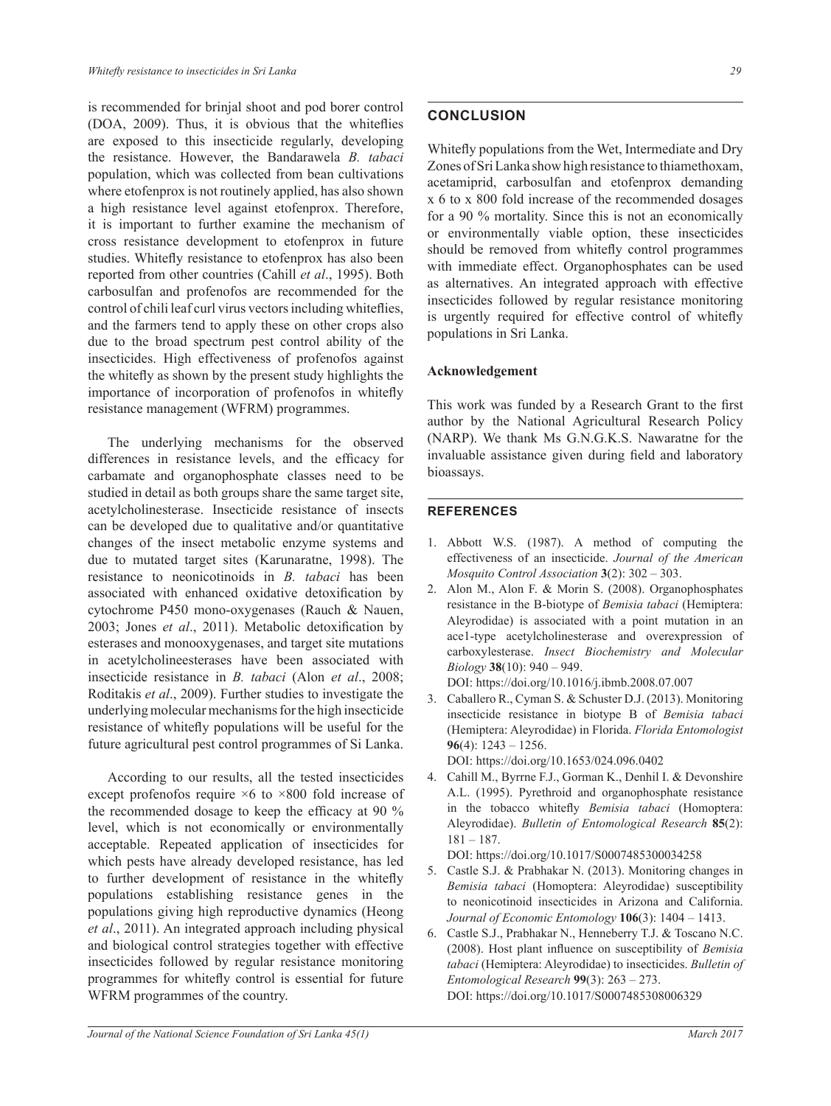is recommended for brinjal shoot and pod borer control (DOA, 2009). Thus, it is obvious that the whiteflies are exposed to this insecticide regularly, developing the resistance. However, the Bandarawela *B. tabaci* population, which was collected from bean cultivations where etofenprox is not routinely applied, has also shown a high resistance level against etofenprox. Therefore, it is important to further examine the mechanism of cross resistance development to etofenprox in future studies. Whitefly resistance to etofenprox has also been reported from other countries (Cahill *et al*., 1995). Both carbosulfan and profenofos are recommended for the control of chili leaf curl virus vectors including whiteflies, and the farmers tend to apply these on other crops also due to the broad spectrum pest control ability of the insecticides. High effectiveness of profenofos against the whitefly as shown by the present study highlights the importance of incorporation of profenofos in whitefly resistance management (WFRM) programmes.

 The underlying mechanisms for the observed differences in resistance levels, and the efficacy for carbamate and organophosphate classes need to be studied in detail as both groups share the same target site, acetylcholinesterase. Insecticide resistance of insects can be developed due to qualitative and/or quantitative changes of the insect metabolic enzyme systems and due to mutated target sites (Karunaratne, 1998). The resistance to neonicotinoids in *B. tabaci* has been associated with enhanced oxidative detoxification by cytochrome P450 mono-oxygenases (Rauch & Nauen, 2003; Jones et al., 2011). Metabolic detoxification by esterases and monooxygenases, and target site mutations in acetylcholineesterases have been associated with insecticide resistance in *B. tabaci* (Alon *et al*., 2008; Roditakis *et al*., 2009). Further studies to investigate the underlying molecular mechanisms for the high insecticide resistance of whitefly populations will be useful for the future agricultural pest control programmes of Si Lanka.

 According to our results, all the tested insecticides except profenofos require  $\times$ 6 to  $\times$ 800 fold increase of the recommended dosage to keep the efficacy at 90  $\%$ level, which is not economically or environmentally acceptable. Repeated application of insecticides for which pests have already developed resistance, has led to further development of resistance in the whitefly populations establishing resistance genes in the populations giving high reproductive dynamics (Heong *et al*., 2011). An integrated approach including physical and biological control strategies together with effective insecticides followed by regular resistance monitoring programmes for whitefly control is essential for future WFRM programmes of the country.

# **CONCLUSION**

Whitefly populations from the Wet, Intermediate and Dry Zones of Sri Lanka show high resistance to thiamethoxam, acetamiprid, carbosulfan and etofenprox demanding  $x$  6 to  $x$  800 fold increase of the recommended dosages for a 90  $\%$  mortality. Since this is not an economically or environmentally viable option, these insecticides should be removed from whitefly control programmes with immediate effect. Organophosphates can be used as alternatives. An integrated approach with effective insecticides followed by regular resistance monitoring is urgently required for effective control of whitefly populations in Sri Lanka.

#### **Acknowledgement**

This work was funded by a Research Grant to the first author by the National Agricultural Research Policy (NARP). We thank Ms G.N.G.K.S. Nawaratne for the invaluable assistance given during field and laboratory bioassays.

#### **REFERENCES**

- 1. Abbott W.S. (1987). A method of computing the effectiveness of an insecticide. *Journal of the American Mosquito Control Association* **3**
- 2. Alon M., Alon F. & Morin S. (2008). Organophosphates resistance in the B-biotype of *Bemisia tabaci* (Hemiptera: Aleyrodidae) is associated with a point mutation in an ace1-type acetylcholinesterase and overexpression of carboxylesterase. *Insect Biochemistry and Molecular Biology* **38**

DOI: https://doi.org/10.1016/j.ibmb.2008.07.007

- 3. Caballero R., Cyman S. & Schuster D.J. (2013). Monitoring insecticide resistance in biotype B of *Bemisia tabaci* (Hemiptera: Aleyrodidae) in Florida. *Florida Entomologist* 96(4):  $1243 - 1256$ .
	- DOI: https://doi.org/10.1653/024.096.0402
- 4. Cahill M., Byrrne F.J., Gorman K., Denhil I. & Devonshire A.L. (1995). Pyrethroid and organophosphate resistance in the tobacco whitefly *Bemisia tabaci* (Homoptera: Aleyrodidae). *Bulletin of Entomological Research* **85**(2):  $181 - 187.$

DOI: https://doi.org/10.1017/S0007485300034258

- 5. Castle S.J. & Prabhakar N. (2013). Monitoring changes in *Bemisia tabaci* (Homoptera: Aleyrodidae) susceptibility to neonicotinoid insecticides in Arizona and California. *Journal of Economic Entomology*
- 6. Castle S.J., Prabhakar N., Henneberry T.J. & Toscano N.C. (2008). Host plant influence on susceptibility of *Bemisia tabaci* (Hemiptera: Aleyrodidae) to insecticides. *Bulletin of Entomological Research* **99** DOI: https://doi.org/10.1017/S0007485308006329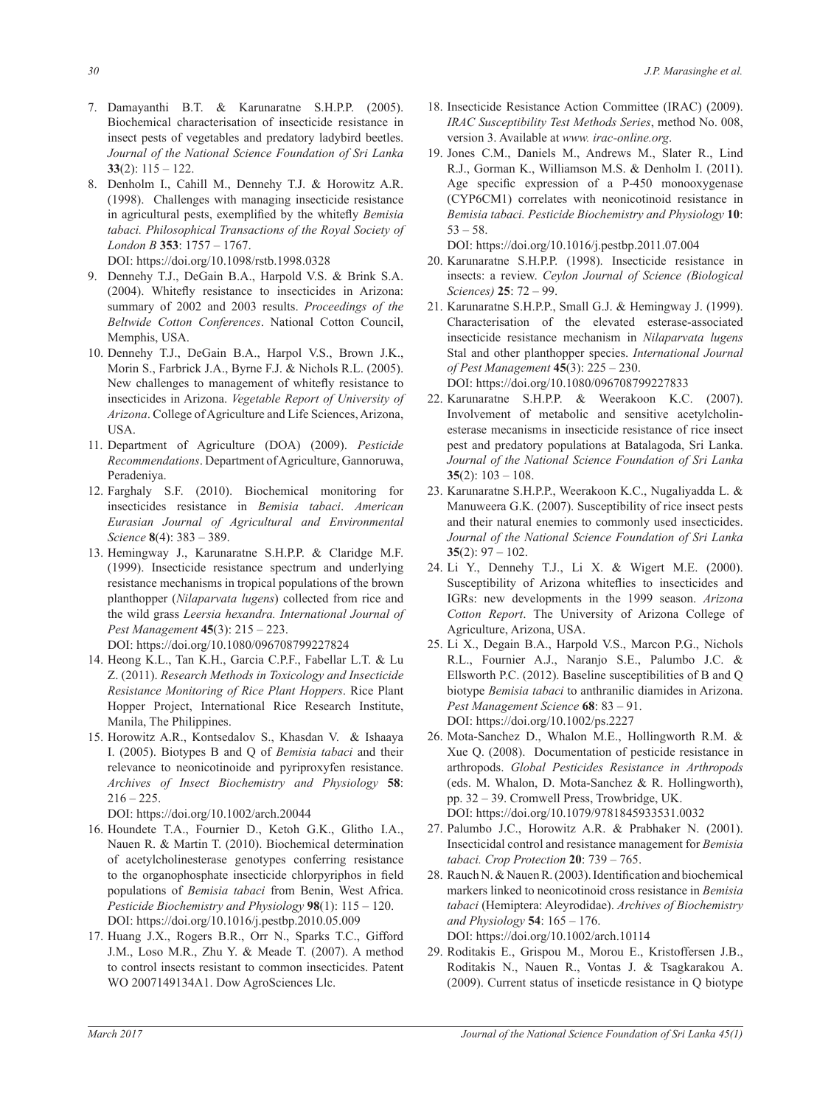- 7. Damayanthi B.T. & Karunaratne S.H.P.P. (2005). Biochemical characterisation of insecticide resistance in insect pests of vegetables and predatory ladybird beetles. *Journal of the National Science Foundation of Sri Lanka*  33(2):  $115 - 122$ .
- 8. Denholm I., Cahill M., Dennehy T.J. & Horowitz A.R. (1998). Challenges with managing insecticide resistance in agricultural pests, exemplified by the whitefly Bemisia *tabaci. Philosophical Transactions of the Royal Society of London B* **353** DOI: https://doi.org/10.1098/rstb.1998.0328
- 9. Dennehy T.J., DeGain B.A., Harpold V.S. & Brink S.A.  $(2004)$ . Whitefly resistance to insecticides in Arizona: summary of 2002 and 2003 results. *Proceedings of the Beltwide Cotton Conferences*. National Cotton Council, Memphis, USA.
- 10. Dennehy T.J., DeGain B.A., Harpol V.S., Brown J.K., Morin S., Farbrick J.A., Byrne F.J. & Nichols R.L. (2005). New challenges to management of whitefly resistance to insecticides in Arizona. Vegetable Report of University of Arizona. College of Agriculture and Life Sciences, Arizona, USA.
- 11. Department of Agriculture (DOA) (2009). *Pesticide Recommendations*. Department of Agriculture, Gannoruwa, Peradeniya.
- 12. Farghaly S.F. (2010). Biochemical monitoring for insecticides resistance in *Bemisia tabaci*. *American Eurasian Journal of Agricultural and Environmental Science* **8**
- 13. Hemingway J., Karunaratne S.H.P.P. & Claridge M.F. (1999). Insecticide resistance spectrum and underlying resistance mechanisms in tropical populations of the brown planthopper (*Nilaparvata lugens*) collected from rice and the wild grass *Leersia hexandra. International Journal of Pest Management* **45** DOI: https://doi.org/10.1080/096708799227824
- 14. Heong K.L., Tan K.H., Garcia C.P.F., Fabellar L.T. & Lu Z. (2011). *Research Methods in Toxicology and Insecticide Resistance Monitoring of Rice Plant Hoppers*. Rice Plant Hopper Project, International Rice Research Institute, Manila, The Philippines.
- 15. Horowitz A.R., Kontsedalov S., Khasdan V. & Ishaaya I. (2005). Biotypes B and Q of *Bemisia tabaci* and their relevance to neonicotinoide and pyriproxyfen resistance. *Archives of Insect Biochemistry and Physiology* **58**:  $216 - 225$ .

DOI: https://doi.org/10.1002/arch.20044

- 16. Houndete T.A., Fournier D., Ketoh G.K., Glitho I.A., Nauen R. & Martin T. (2010). Biochemical determination of acetylcholinesterase genotypes conferring resistance to the organophosphate insecticide chlorpyriphos in field populations of *Bemisia tabaci* from Benin, West Africa. *Pesticide Biochemistry and Physiology* **98** DOI: https://doi.org/10.1016/j.pestbp.2010.05.009
- 17. Huang J.X., Rogers B.R., Orr N., Sparks T.C., Gifford J.M., Loso M.R., Zhu Y. & Meade T. (2007). A method to control insects resistant to common insecticides. Patent WO 2007149134A1. Dow AgroSciences Llc.
- 18. Insecticide Resistance Action Committee (IRAC) (2009). *IRAC Susceptibility Test Methods Series*, method No. 008, version 3. Available at *www. irac-online.org*.
- 19. Jones C.M., Daniels M., Andrews M., Slater R., Lind R.J., Gorman K., Williamson M.S. & Denholm I. (2011). Age specific expression of a  $P-450$  monooxygenase (CYP6CM1) correlates with neonicotinoid resistance in *Bemisia tabaci. Pesticide Biochemistry and Physiology* 10:  $53 - 58$

DOI: https://doi.org/10.1016/j.pestbp.2011.07.004

- 20. Karunaratne S.H.P.P. (1998). Insecticide resistance in insects: a review. *Ceylon Journal of Science (Biological Sciences)* **25**
- 21. Karunaratne S.H.P.P., Small G.J. & Hemingway J. (1999). Characterisation of the elevated esterase-associated insecticide resistance mechanism in *Nilaparvata lugens* Stal and other planthopper species. *International Journal of Pest Management* **45**

DOI: https://doi.org/10.1080/096708799227833

- 22. Karunaratne S.H.P.P. & Weerakoon K.C. (2007). Involvement of metabolic and sensitive acetylcholinesterase mecanisms in insecticide resistance of rice insect pest and predatory populations at Batalagoda, Sri Lanka. *Journal of the National Science Foundation of Sri Lanka* 35(2):  $103 - 108$ .
- 23. Karunaratne S.H.P.P., Weerakoon K.C., Nugaliyadda L. & Manuweera G.K. (2007). Susceptibility of rice insect pests and their natural enemies to commonly used insecticides. *Journal of the National Science Foundation of Sri Lanka* 35(2):  $97 - 102$ .
- 24. Li Y., Dennehy T.J., Li X. & Wigert M.E. (2000). Susceptibility of Arizona whiteflies to insecticides and IGRs: new developments in the 1999 season. *Arizona Cotton Report*. The University of Arizona College of Agriculture, Arizona, USA.
- 25. Li X., Degain B.A., Harpold V.S., Marcon P.G., Nichols R.L., Fournier A.J., Naranjo S.E., Palumbo J.C. & Ellsworth P.C. (2012). Baseline susceptibilities of B and Q biotype *Bemisia tabaci* to anthranilic diamides in Arizona. *Pest Management Science* **68** DOI: https://doi.org/10.1002/ps.2227
- 26. Mota-Sanchez D., Whalon M.E., Hollingworth R.M. & Xue Q. (2008). Documentation of pesticide resistance in arthropods. *Global Pesticides Resistance in Arthropods* (eds. M. Whalon, D. Mota-Sanchez & R. Hollingworth), pp. 32 – 39. Cromwell Press, Trowbridge, UK. DOI: https://doi.org/10.1079/9781845933531.0032
- 27. Palumbo J.C., Horowitz A.R. & Prabhaker N. (2001). Insecticidal control and resistance management for *Bemisia tabaci. Crop Protection*
- 28. Rauch N. & Nauen R. (2003). Identification and biochemical markers linked to neonicotinoid cross resistance in *Bemisia tabaci* (Hemiptera: Aleyrodidae). *Archives of Biochemistry and Physiology* **54** DOI: https://doi.org/10.1002/arch.10114
- 29. Roditakis E., Grispou M., Morou E., Kristoffersen J.B., Roditakis N., Nauen R., Vontas J. & Tsagkarakou A. (2009). Current status of inseticde resistance in Q biotype